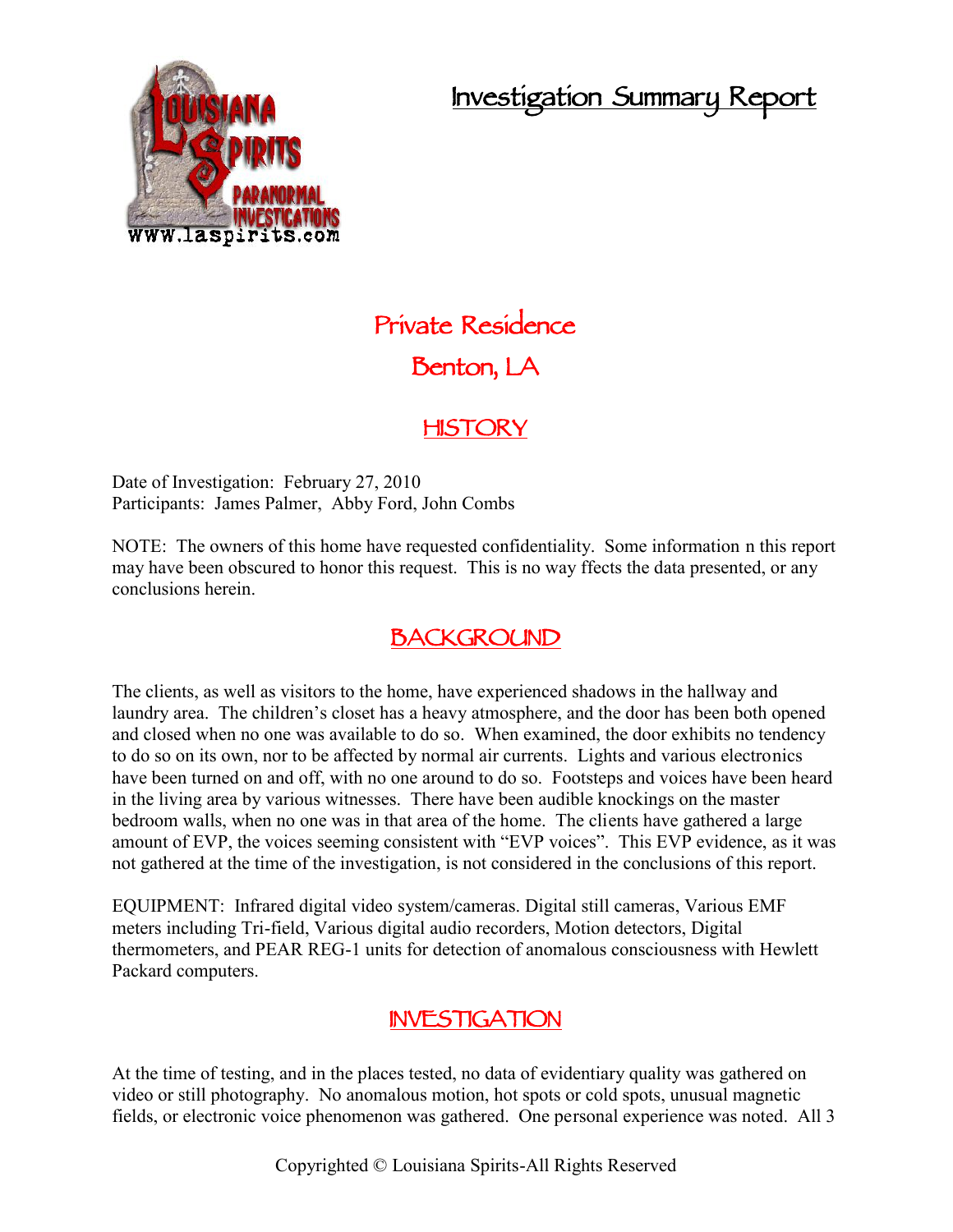# **Investigation Summary Report**



# **Private Residence Benton, LA**

## **HISTORY**

Date of Investigation: February 27, 2010 Participants: James Palmer, Abby Ford, John Combs

NOTE: The owners of this home have requested confidentiality. Some information n this report may have been obscured to honor this request. This is no way ffects the data presented, or any conclusions herein.

# **BACKGROUND**

The clients, as well as visitors to the home, have experienced shadows in the hallway and laundry area. The children's closet has a heavy atmosphere, and the door has been both opened and closed when no one was available to do so. When examined, the door exhibits no tendency to do so on its own, nor to be affected by normal air currents. Lights and various electronics have been turned on and off, with no one around to do so. Footsteps and voices have been heard in the living area by various witnesses. There have been audible knockings on the master bedroom walls, when no one was in that area of the home. The clients have gathered a large amount of EVP, the voices seeming consistent with "EVP voices". This EVP evidence, as it was not gathered at the time of the investigation, is not considered in the conclusions of this report.

EQUIPMENT: Infrared digital video system/cameras. Digital still cameras, Various EMF meters including Tri-field, Various digital audio recorders, Motion detectors, Digital thermometers, and PEAR REG-1 units for detection of anomalous consciousness with Hewlett Packard computers.

### **INVESTIGATION**

At the time of testing, and in the places tested, no data of evidentiary quality was gathered on video or still photography. No anomalous motion, hot spots or cold spots, unusual magnetic fields, or electronic voice phenomenon was gathered. One personal experience was noted. All 3